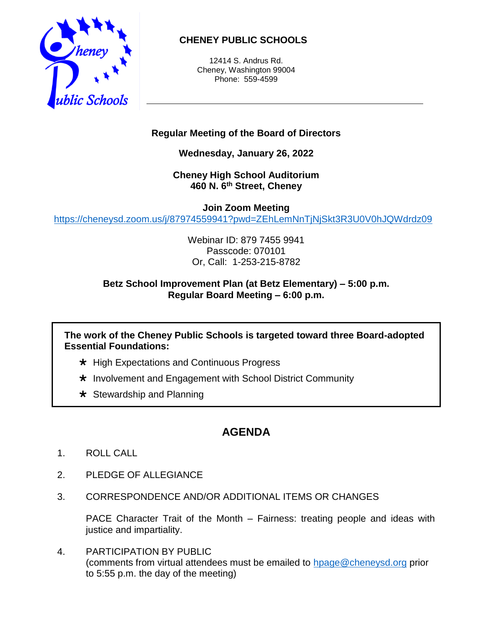

## **CHENEY PUBLIC SCHOOLS**

12414 S. Andrus Rd. Cheney, Washington 99004 Phone: 559-4599

## **Regular Meeting of the Board of Directors**

**Wednesday, January 26, 2022**

**Cheney High School Auditorium 460 N. 6 th Street, Cheney**

**Join Zoom Meeting** <https://cheneysd.zoom.us/j/87974559941?pwd=ZEhLemNnTjNjSkt3R3U0V0hJQWdrdz09>

> Webinar ID: 879 7455 9941 Passcode: 070101 Or, Call: 1-253-215-8782

## **Betz School Improvement Plan (at Betz Elementary) – 5:00 p.m. Regular Board Meeting – 6:00 p.m.**

**The work of the Cheney Public Schools is targeted toward three Board-adopted Essential Foundations:**

- $\star$  High Expectations and Continuous Progress
- $\star$  Involvement and Engagement with School District Community
- $\star$  Stewardship and Planning

## **AGENDA**

- 1. ROLL CALL
- 2. PLEDGE OF ALLEGIANCE
- 3. CORRESPONDENCE AND/OR ADDITIONAL ITEMS OR CHANGES

PACE Character Trait of the Month – Fairness: treating people and ideas with justice and impartiality.

4. PARTICIPATION BY PUBLIC (comments from virtual attendees must be emailed to [hpage@cheneysd.org](mailto:hpage@cheneysd.org) prior to 5:55 p.m. the day of the meeting)